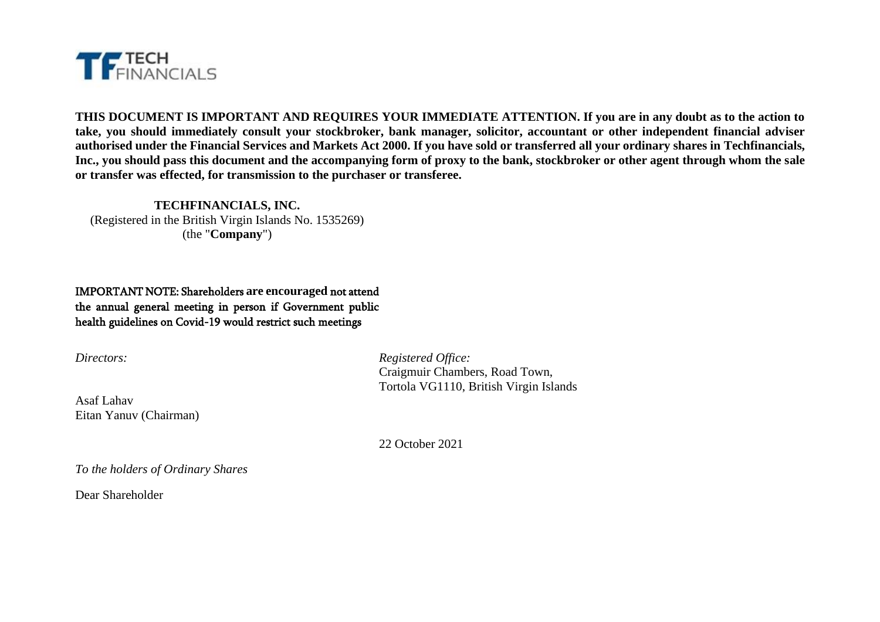

**THIS DOCUMENT IS IMPORTANT AND REQUIRES YOUR IMMEDIATE ATTENTION. If you are in any doubt as to the action to take, you should immediately consult your stockbroker, bank manager, solicitor, accountant or other independent financial adviser authorised under the Financial Services and Markets Act 2000. If you have sold or transferred all your ordinary shares in Techfinancials, Inc., you should pass this document and the accompanying form of proxy to the bank, stockbroker or other agent through whom the sale or transfer was effected, for transmission to the purchaser or transferee.**

**TECHFINANCIALS, INC.** (Registered in the British Virgin Islands No. 1535269) (the "**Company**")

IMPORTANT NOTE: Shareholders **are encouraged** not attend the annual general meeting in person if Government public health guidelines on Covid-19 would restrict such meetings

Asaf Lahav Eitan Yanuv (Chairman)

*Directors: Registered Office:* Craigmuir Chambers, Road Town, Tortola VG1110, British Virgin Islands

22 October 2021

*To the holders of Ordinary Shares*

Dear Shareholder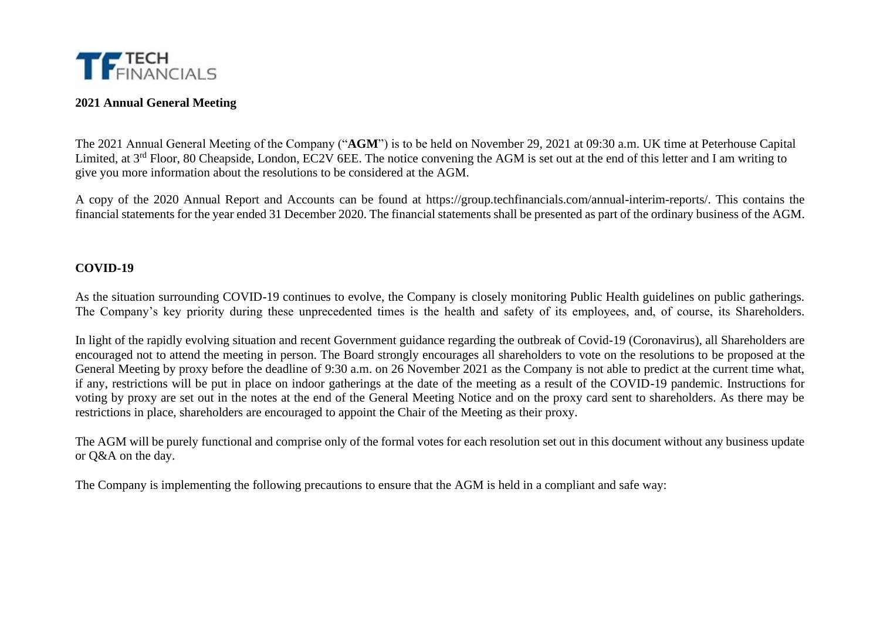

# **2021 Annual General Meeting**

The 2021 Annual General Meeting of the Company ("**AGM**") is to be held on November 29, 2021 at 09:30 a.m. UK time at Peterhouse Capital Limited, at 3<sup>rd</sup> Floor, 80 Cheapside, London, EC2V 6EE. The notice convening the AGM is set out at the end of this letter and I am writing to give you more information about the resolutions to be considered at the AGM.

A copy of the 2020 Annual Report and Accounts can be found at https://group.techfinancials.com/annual-interim-reports/. This contains the financial statements for the year ended 31 December 2020. The financial statements shall be presented as part of the ordinary business of the AGM.

### **COVID-19**

As the situation surrounding COVID-19 continues to evolve, the Company is closely monitoring Public Health guidelines on public gatherings. The Company's key priority during these unprecedented times is the health and safety of its employees, and, of course, its Shareholders.

In light of the rapidly evolving situation and recent Government guidance regarding the outbreak of Covid-19 (Coronavirus), all Shareholders are encouraged not to attend the meeting in person. The Board strongly encourages all shareholders to vote on the resolutions to be proposed at the General Meeting by proxy before the deadline of 9:30 a.m. on 26 November 2021 as the Company is not able to predict at the current time what, if any, restrictions will be put in place on indoor gatherings at the date of the meeting as a result of the COVID-19 pandemic. Instructions for voting by proxy are set out in the notes at the end of the General Meeting Notice and on the proxy card sent to shareholders. As there may be restrictions in place, shareholders are encouraged to appoint the Chair of the Meeting as their proxy.

The AGM will be purely functional and comprise only of the formal votes for each resolution set out in this document without any business update or Q&A on the day.

The Company is implementing the following precautions to ensure that the AGM is held in a compliant and safe way: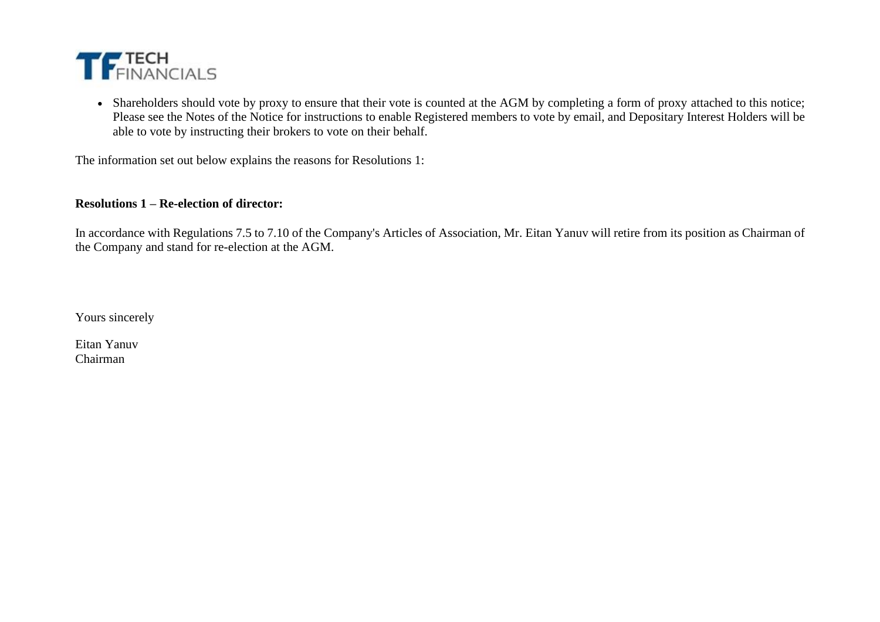

• Shareholders should vote by proxy to ensure that their vote is counted at the AGM by completing a form of proxy attached to this notice; Please see the Notes of the Notice for instructions to enable Registered members to vote by email, and Depositary Interest Holders will be able to vote by instructing their brokers to vote on their behalf.

The information set out below explains the reasons for Resolutions 1:

### **Resolutions 1 – Re-election of director:**

In accordance with Regulations 7.5 to 7.10 of the Company's Articles of Association, Mr. Eitan Yanuv will retire from its position as Chairman of the Company and stand for re-election at the AGM.

Yours sincerely

Eitan Yanuv Chairman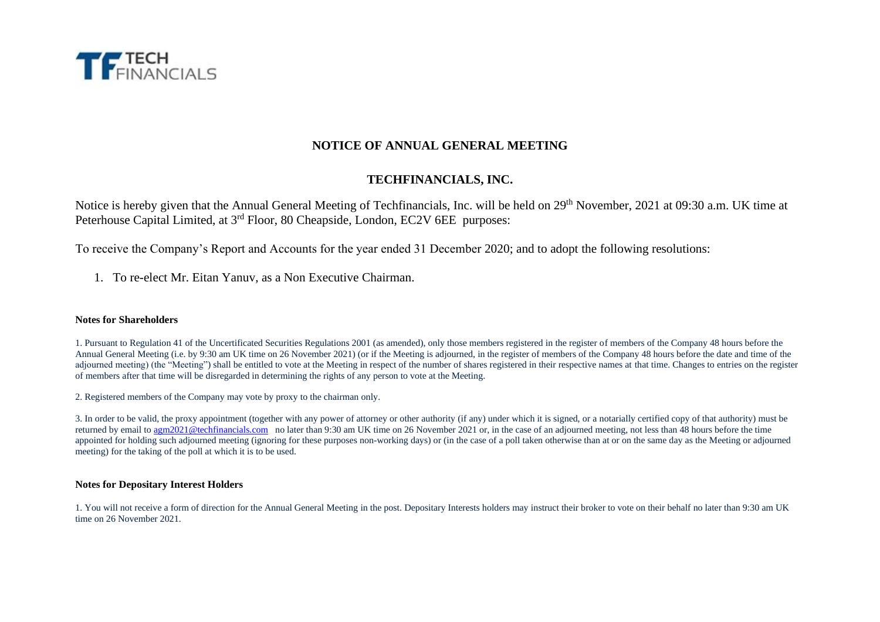

# **NOTICE OF ANNUAL GENERAL MEETING**

# **TECHFINANCIALS, INC.**

Notice is hereby given that the Annual General Meeting of Techfinancials, Inc. will be held on 29<sup>th</sup> November, 2021 at 09:30 a.m. UK time at Peterhouse Capital Limited, at 3<sup>rd</sup> Floor, 80 Cheapside, London, EC2V 6EE purposes:

To receive the Company's Report and Accounts for the year ended 31 December 2020; and to adopt the following resolutions:

1. To re-elect Mr. Eitan Yanuv, as a Non Executive Chairman.

#### **Notes for Shareholders**

1. Pursuant to Regulation 41 of the Uncertificated Securities Regulations 2001 (as amended), only those members registered in the register of members of the Company 48 hours before the Annual General Meeting (i.e. by 9:30 am UK time on 26 November 2021) (or if the Meeting is adjourned, in the register of members of the Company 48 hours before the date and time of the adjourned meeting) (the "Meeting") shall be entitled to vote at the Meeting in respect of the number of shares registered in their respective names at that time. Changes to entries on the register of members after that time will be disregarded in determining the rights of any person to vote at the Meeting.

2. Registered members of the Company may vote by proxy to the chairman only.

3. In order to be valid, the proxy appointment (together with any power of attorney or other authority (if any) under which it is signed, or a notarially certified copy of that authority) must be returned by email to [agm2021@techfinancials.com](mailto:agm2021@techfinancials.com) no later than 9:30 am UK time on 26 November 2021 or, in the case of an adjourned meeting, not less than 48 hours before the time appointed for holding such adjourned meeting (ignoring for these purposes non-working days) or (in the case of a poll taken otherwise than at or on the same day as the Meeting or adjourned meeting) for the taking of the poll at which it is to be used.

#### **Notes for Depositary Interest Holders**

1. You will not receive a form of direction for the Annual General Meeting in the post. Depositary Interests holders may instruct their broker to vote on their behalf no later than 9:30 am UK time on 26 November 2021.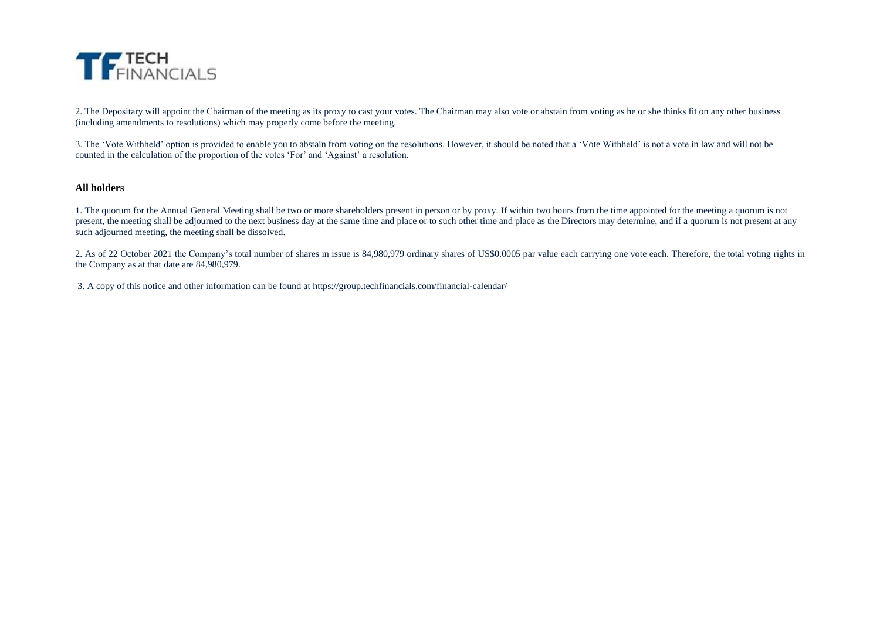

2. The Depositary will appoint the Chairman of the meeting as its proxy to cast your votes. The Chairman may also vote or abstain from voting as he or she thinks fit on any other business (including amendments to resolutions) which may properly come before the meeting.

3. The 'Vote Withheld' option is provided to enable you to abstain from voting on the resolutions. However, it should be noted that a 'Vote Withheld' is not a vote in law and will not be counted in the calculation of the proportion of the votes 'For' and 'Against' a resolution.

#### **All holders**

1. The quorum for the Annual General Meeting shall be two or more shareholders present in person or by proxy. If within two hours from the time appointed for the meeting a quorum is not present, the meeting shall be adjourned to the next business day at the same time and place or to such other time and place as the Directors may determine, and if a quorum is not present at any such adjourned meeting, the meeting shall be dissolved.

2. As of 22 October 2021 the Company's total number of shares in issue is 84,980,979 ordinary shares of US\$0.0005 par value each carrying one vote each. Therefore, the total voting rights in the Company as at that date are 84,980,979.

3. A copy of this notice and other information can be found at https://group.techfinancials.com/financial-calendar/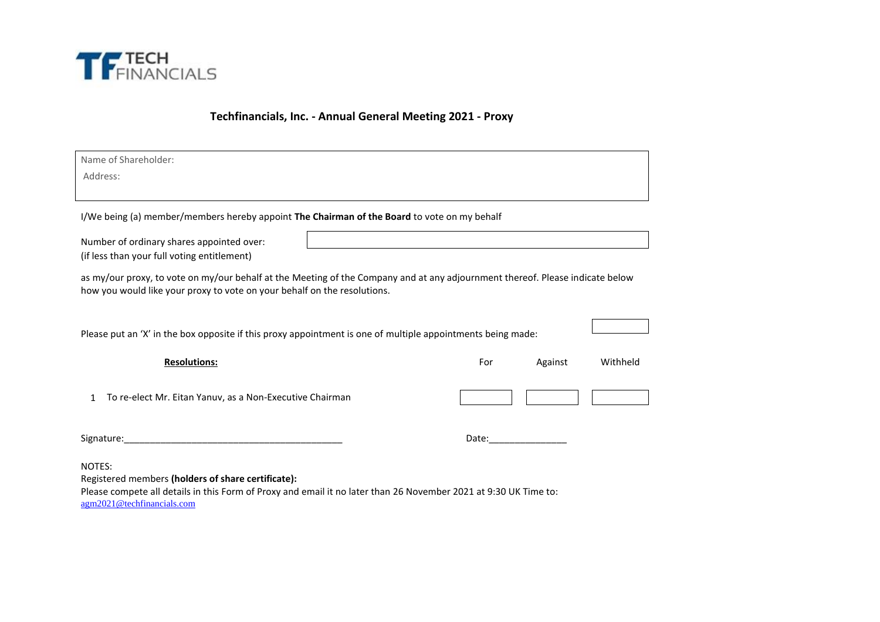

**Techfinancials, Inc. - Annual General Meeting 2021 - Proxy**

| Name of Shareholder:                                                                                                                                                                                           |                      |         |          |
|----------------------------------------------------------------------------------------------------------------------------------------------------------------------------------------------------------------|----------------------|---------|----------|
| Address:                                                                                                                                                                                                       |                      |         |          |
|                                                                                                                                                                                                                |                      |         |          |
| I/We being (a) member/members hereby appoint The Chairman of the Board to vote on my behalf                                                                                                                    |                      |         |          |
| Number of ordinary shares appointed over:<br>(if less than your full voting entitlement)                                                                                                                       |                      |         |          |
| as my/our proxy, to vote on my/our behalf at the Meeting of the Company and at any adjournment thereof. Please indicate below<br>how you would like your proxy to vote on your behalf on the resolutions.      |                      |         |          |
| Please put an 'X' in the box opposite if this proxy appointment is one of multiple appointments being made:                                                                                                    |                      |         |          |
| <b>Resolutions:</b>                                                                                                                                                                                            | For                  | Against | Withheld |
| To re-elect Mr. Eitan Yanuv, as a Non-Executive Chairman<br>1                                                                                                                                                  |                      |         |          |
|                                                                                                                                                                                                                | Date: ______________ |         |          |
| NOTES:<br>Registered members (holders of share certificate):<br>Please compete all details in this Form of Proxy and email it no later than 26 November 2021 at 9:30 UK Time to:<br>agm2021@techfinancials.com |                      |         |          |